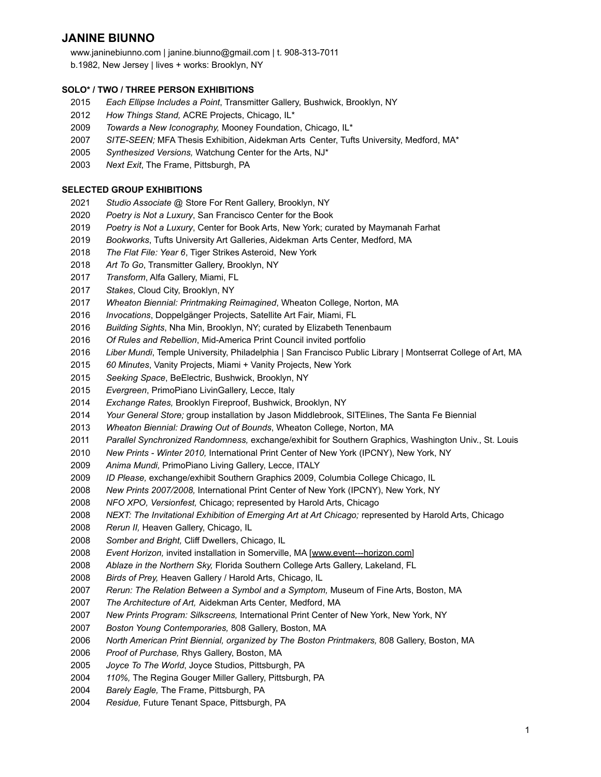# **JANINE BIUNNO**

www.janinebiunno.com | janine.biunno@gmail.com | t. 908-313-7011 b.1982, New Jersey | lives + works: Brooklyn, NY

## **SOLO\* / TWO / THREE PERSON EXHIBITIONS**

- *Each Ellipse Includes a Point*, Transmitter Gallery, Bushwick, Brooklyn, NY
- *How Things Stand,* ACRE Projects, Chicago, IL\*
- *Towards a New Iconography,* Mooney Foundation, Chicago, IL\*
- *SITE-SEEN;* MFA Thesis Exhibition, Aidekman Arts Center, Tufts University, Medford, MA\*
- *Synthesized Versions,* Watchung Center for the Arts, NJ\*
- *Next Exit*, The Frame, Pittsburgh, PA

#### **SELECTED GROUP EXHIBITIONS**

- *Studio Associate @* Store For Rent Gallery, Brooklyn, NY
- *Poetry is Not a Luxury*, San Francisco Center for the Book
- *Poetry is Not a Luxury*, Center for Book Arts, New York; curated by Maymanah Farhat
- *Bookworks*, Tufts University Art Galleries, Aidekman Arts Center, Medford, MA
- *The Flat File: Year 6*, Tiger Strikes Asteroid, New York
- *Art To Go*, Transmitter Gallery, Brooklyn, NY
- *Transform*, Alfa Gallery, Miami, FL
- *Stakes*, Cloud City, Brooklyn, NY
- *Wheaton Biennial: Printmaking Reimagined*, Wheaton College, Norton, MA
- *Invocations*, Doppelgänger Projects, Satellite Art Fair, Miami, FL
- *Building Sights*, Nha Min, Brooklyn, NY; curated by Elizabeth Tenenbaum
- *Of Rules and Rebellion*, Mid-America Print Council invited portfolio
- *Liber Mundi*, Temple University, Philadelphia | San Francisco Public Library | Montserrat College of Art, MA
- *60 Minutes*, Vanity Projects, Miami + Vanity Projects, New York
- *Seeking Space*, BeElectric, Bushwick, Brooklyn, NY
- *Evergreen*, PrimoPiano LivinGallery, Lecce, Italy
- *Exchange Rates,* Brooklyn Fireproof, Bushwick, Brooklyn, NY
- *Your General Store;* group installation by Jason Middlebrook, SITElines, The Santa Fe Biennial
- *Wheaton Biennial: Drawing Out of Bounds*, Wheaton College, Norton, MA
- *Parallel Synchronized Randomness,* exchange/exhibit for Southern Graphics, Washington Univ., St. Louis
- *New Prints Winter 2010,* International Print Center of New York (IPCNY), New York, NY
- *Anima Mundi,* PrimoPiano Living Gallery, Lecce, ITALY
- *ID Please,* exchange/exhibit Southern Graphics 2009, Columbia College Chicago, IL
- *New Prints 2007/2008,* International Print Center of New York (IPCNY), New York, NY
- *NFO XPO, Versionfest,* Chicago; represented by Harold Arts, Chicago
- *NEXT: The Invitational Exhibition of Emerging Art at Art Chicago;* represented by Harold Arts, Chicago
- *Rerun II,* Heaven Gallery, Chicago, IL
- *Somber and Bright,* Cliff Dwellers, Chicago, IL
- *Event Horizon,* invited installation in Somerville, MA [[www.event---horizon.com\]](http://www.event---horizon.com)
- *Ablaze in the Northern Sky,* Florida Southern College Arts Gallery, Lakeland, FL
- *Birds of Prey,* Heaven Gallery / Harold Arts, Chicago, IL
- *Rerun: The Relation Between a Symbol and a Symptom,* Museum of Fine Arts, Boston, MA
- *The Architecture of Art,* Aidekman Arts Center, Medford, MA
- *New Prints Program: Silkscreens,* International Print Center of New York, New York, NY
- *Boston Young Contemporaries,* 808 Gallery, Boston, MA
- *North American Print Biennial, organized by The Boston Printmakers,* 808 Gallery, Boston, MA
- *Proof of Purchase,* Rhys Gallery, Boston, MA
- *Joyce To The World*, Joyce Studios, Pittsburgh, PA
- *110%,* The Regina Gouger Miller Gallery, Pittsburgh, PA
- *Barely Eagle,* The Frame, Pittsburgh, PA
- *Residue,* Future Tenant Space, Pittsburgh, PA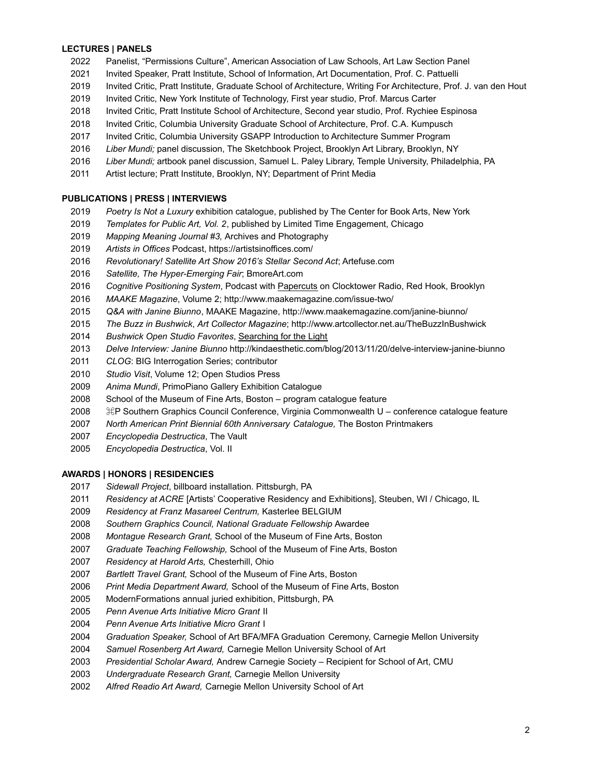#### **LECTURES | PANELS**

- Panelist, "Permissions Culture", American Association of Law Schools, Art Law Section Panel
- Invited Speaker, Pratt Institute, School of Information, Art Documentation, Prof. C. Pattuelli
- Invited Critic, Pratt Institute, Graduate School of Architecture, Writing For Architecture, Prof. J. van den Hout
- Invited Critic, New York Institute of Technology, First year studio, Prof. Marcus Carter
- Invited Critic, Pratt Institute School of Architecture, Second year studio, Prof. Rychiee Espinosa
- Invited Critic, Columbia University Graduate School of Architecture, Prof. C.A. Kumpusch
- Invited Critic, Columbia University GSAPP Introduction to Architecture Summer Program
- *Liber Mundi;* panel discussion, The Sketchbook Project, Brooklyn Art Library, Brooklyn, NY
- *Liber Mundi;* artbook panel discussion, Samuel L. Paley Library, Temple University, Philadelphia, PA
- Artist lecture; Pratt Institute, Brooklyn, NY; Department of Print Media

## **PUBLICATIONS | PRESS | INTERVIEWS**

- *Poetry Is Not a Luxury* exhibition catalogue, published by The Center for Book Arts, New York
- *Templates for Public Art, Vol. 2*, published by Limited Time Engagement, Chicago
- *Mapping Meaning Journal #3,* Archives and Photography
- *Artists in Offices* Podcast, https://artistsinoffices.com/
- *Revolutionary! Satellite Art Show 2016's Stellar Second Act*; Artefuse.com
- *Satellite, The Hyper-Emerging Fair*; BmoreArt.com
- *Cognitive Positioning System*, Podcast with Papercuts on Clocktower Radio, Red Hook, Brooklyn
- *MAAKE Magazine*, Volume 2; http://www.maakemagazine.com/issue-two/
- *Q&A with Janine Biunno*, MAAKE Magazine, http://www.maakemagazine.com/janine-biunno/
- *The Buzz in Bushwick*, *Art Collector Magazine*; http://www.artcollector.net.au/TheBuzzInBushwick
- *Bushwick Open Studio Favorites*, [Searching for](http://carlgunhouse.blogspot.com/2014/06/my-favorites-from-bushwick-open-studios.html) the Light
- *Delve Interview: Janine Biunno* http://kindaesthetic.com/blog/2013/11/20/delve-interview-janine-biunno
- *CLOG*: BIG Interrogation Series; contributor
- *Studio Visit*, Volume 12; Open Studios Press
- *Anima Mundi*, PrimoPiano Gallery Exhibition Catalogue
- School of the Museum of Fine Arts, Boston program catalogue feature
- ⌘P Southern Graphics Council Conference, Virginia Commonwealth U conference catalogue feature
- *North American Print Biennial 60th Anniversary Catalogue,* The Boston Printmakers
- *Encyclopedia Destructica*, The Vault
- *Encyclopedia Destructica*, Vol. II

## **AWARDS | HONORS | RESIDENCIES**

- *Sidewall Project*, billboard installation. Pittsburgh, PA
- *Residency at ACRE* [Artists' Cooperative Residency and Exhibitions], Steuben, WI / Chicago, IL
- *Residency at Franz Masareel Centrum,* Kasterlee BELGIUM
- *Southern Graphics Council, National Graduate Fellowship* Awardee
- *Montague Research Grant,* School of the Museum of Fine Arts, Boston
- *Graduate Teaching Fellowship,* School of the Museum of Fine Arts, Boston
- *Residency at Harold Arts,* Chesterhill, Ohio
- *Bartlett Travel Grant,* School of the Museum of Fine Arts, Boston
- *Print Media Department Award,* School of the Museum of Fine Arts, Boston
- ModernFormations annual juried exhibition, Pittsburgh, PA
- *Penn Avenue Arts Initiative Micro Grant* II
- *Penn Avenue Arts Initiative Micro Grant* I
- *Graduation Speaker,* School of Art BFA/MFA Graduation Ceremony, Carnegie Mellon University
- *Samuel Rosenberg Art Award,* Carnegie Mellon University School of Art
- *Presidential Scholar Award,* Andrew Carnegie Society Recipient for School of Art, CMU
- *Undergraduate Research Grant,* Carnegie Mellon University
- *Alfred Readio Art Award,* Carnegie Mellon University School of Art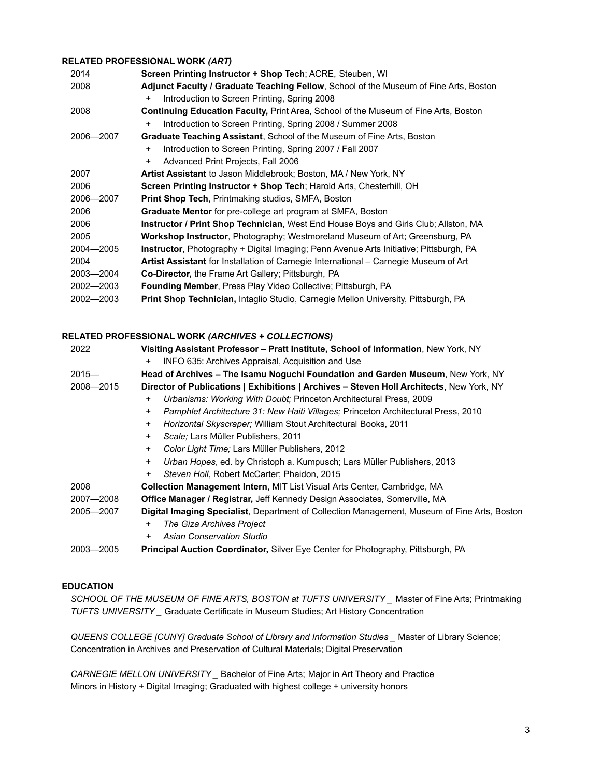## **RELATED PROFESSIONAL WORK** *(ART)*

| 2014      | Screen Printing Instructor + Shop Tech; ACRE, Steuben, WI                                      |
|-----------|------------------------------------------------------------------------------------------------|
| 2008      | Adjunct Faculty / Graduate Teaching Fellow, School of the Museum of Fine Arts, Boston          |
|           | Introduction to Screen Printing, Spring 2008<br>$\ddot{}$                                      |
| 2008      | <b>Continuing Education Faculty, Print Area, School of the Museum of Fine Arts, Boston</b>     |
|           | Introduction to Screen Printing, Spring 2008 / Summer 2008<br>$\ddot{}$                        |
| 2006-2007 | Graduate Teaching Assistant, School of the Museum of Fine Arts, Boston                         |
|           | Introduction to Screen Printing, Spring 2007 / Fall 2007<br>$\ddot{}$                          |
|           | Advanced Print Projects, Fall 2006<br>$\ddot{}$                                                |
| 2007      | <b>Artist Assistant</b> to Jason Middlebrook; Boston, MA / New York, NY                        |
| 2006      | <b>Screen Printing Instructor + Shop Tech</b> ; Harold Arts, Chesterhill, OH                   |
| 2006-2007 | <b>Print Shop Tech, Printmaking studios, SMFA, Boston</b>                                      |
| 2006      | Graduate Mentor for pre-college art program at SMFA, Boston                                    |
| 2006      | <b>Instructor / Print Shop Technician, West End House Boys and Girls Club; Allston, MA</b>     |
| 2005      | Workshop Instructor, Photography; Westmoreland Museum of Art; Greensburg, PA                   |
| 2004-2005 | <b>Instructor</b> , Photography + Digital Imaging; Penn Avenue Arts Initiative; Pittsburgh, PA |
| 2004      | <b>Artist Assistant</b> for Installation of Carnegie International – Carnegie Museum of Art    |
| 2003-2004 | Co-Director, the Frame Art Gallery; Pittsburgh, PA                                             |
| 2002-2003 | <b>Founding Member, Press Play Video Collective; Pittsburgh, PA</b>                            |
| 2002-2003 | <b>Print Shop Technician, Intaglio Studio, Carnegie Mellon University, Pittsburgh, PA</b>      |

## **RELATED PROFESSIONAL WORK** *(ARCHIVES + COLLECTIONS)*

| 2022      | Visiting Assistant Professor - Pratt Institute, School of Information, New York, NY                   |
|-----------|-------------------------------------------------------------------------------------------------------|
|           | INFO 635: Archives Appraisal, Acquisition and Use<br>$\ddot{}$                                        |
| $2015 -$  | Head of Archives – The Isamu Noguchi Foundation and Garden Museum, New York, NY                       |
| 2008-2015 | Director of Publications   Exhibitions   Archives – Steven Holl Architects, New York, NY              |
|           | Urbanisms: Working With Doubt: Princeton Architectural Press, 2009<br>$\ddot{}$                       |
|           | <i>Pamphlet Architecture 31: New Haiti Villages: Princeton Architectural Press, 2010</i><br>$\ddot{}$ |
|           | <i>Horizontal Skyscraper</i> ; William Stout Architectural Books, 2011<br>$\ddot{}$                   |
|           | Scale: Lars Müller Publishers, 2011<br>$+$                                                            |
|           | Color Light Time: Lars Müller Publishers, 2012<br>$+$                                                 |
|           | Urban Hopes, ed. by Christoph a. Kumpusch; Lars Müller Publishers, 2013<br>$\ddot{}$                  |
|           | Steven Holl, Robert McCarter; Phaidon, 2015<br>+                                                      |
| 2008      | <b>Collection Management Intern, MIT List Visual Arts Center, Cambridge, MA</b>                       |
| 2007-2008 | <b>Office Manager / Registrar, Jeff Kennedy Design Associates, Somerville, MA</b>                     |
| 2005-2007 | Digital Imaging Specialist, Department of Collection Management, Museum of Fine Arts, Boston          |
|           | The Giza Archives Project<br>+                                                                        |
|           | Asian Conservation Studio<br>$\ddot{}$                                                                |
| 2003-2005 | <b>Principal Auction Coordinator, Silver Eye Center for Photography, Pittsburgh, PA</b>               |
|           |                                                                                                       |

#### **EDUCATION**

*SCHOOL OF THE MUSEUM OF FINE ARTS, BOSTON at TUFTS UNIVERSITY \_* Master of Fine Arts; Printmaking *TUFTS UNIVERSITY \_* Graduate Certificate in Museum Studies; Art History Concentration

*QUEENS COLLEGE [CUNY] Graduate School of Library and Information Studies \_* Master of Library Science; Concentration in Archives and Preservation of Cultural Materials; Digital Preservation

*CARNEGIE MELLON UNIVERSITY \_* Bachelor of Fine Arts; Major in Art Theory and Practice Minors in History + Digital Imaging; Graduated with highest college + university honors